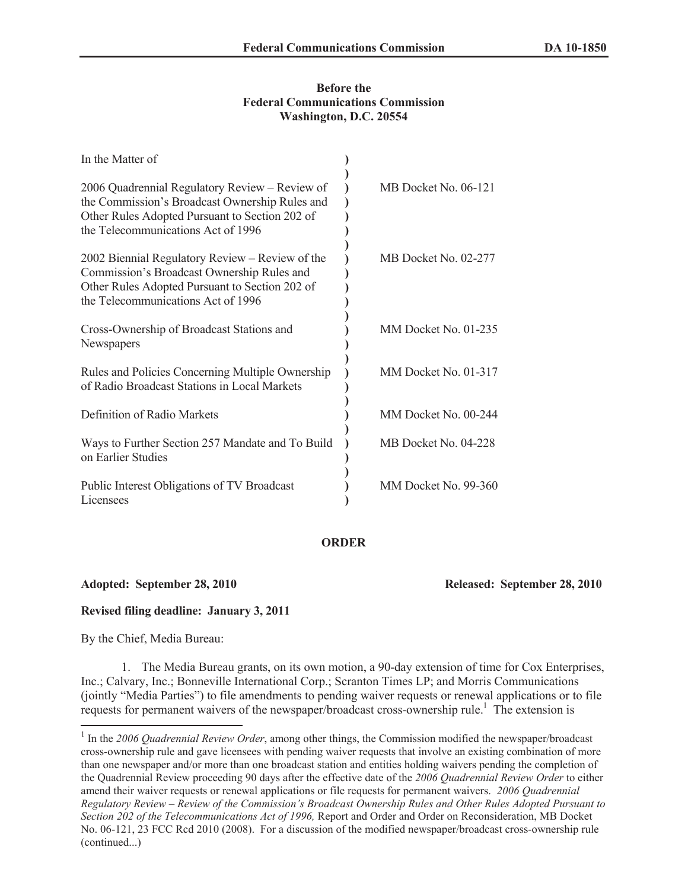### **Before the Federal Communications Commission Washington, D.C. 20554**

| In the Matter of                                                                                                                                                                         |                      |
|------------------------------------------------------------------------------------------------------------------------------------------------------------------------------------------|----------------------|
| 2006 Quadrennial Regulatory Review - Review of<br>the Commission's Broadcast Ownership Rules and<br>Other Rules Adopted Pursuant to Section 202 of<br>the Telecommunications Act of 1996 | MB Docket No. 06-121 |
| 2002 Biennial Regulatory Review - Review of the<br>Commission's Broadcast Ownership Rules and<br>Other Rules Adopted Pursuant to Section 202 of<br>the Telecommunications Act of 1996    | MB Docket No. 02-277 |
| Cross-Ownership of Broadcast Stations and<br>Newspapers                                                                                                                                  | MM Docket No. 01-235 |
| Rules and Policies Concerning Multiple Ownership<br>of Radio Broadcast Stations in Local Markets                                                                                         | MM Docket No. 01-317 |
| Definition of Radio Markets                                                                                                                                                              | MM Docket No. 00-244 |
| Ways to Further Section 257 Mandate and To Build<br>on Earlier Studies                                                                                                                   | MB Docket No. 04-228 |
| Public Interest Obligations of TV Broadcast<br>Licensees                                                                                                                                 | MM Docket No. 99-360 |

# **ORDER**

**Adopted: September 28, 2010 Released: September 28, 2010** 

# **Revised filing deadline: January 3, 2011**

By the Chief, Media Bureau:

1. The Media Bureau grants, on its own motion, a 90-day extension of time for Cox Enterprises, Inc.; Calvary, Inc.; Bonneville International Corp.; Scranton Times LP; and Morris Communications (jointly "Media Parties") to file amendments to pending waiver requests or renewal applications or to file requests for permanent waivers of the newspaper/broadcast cross-ownership rule.<sup>1</sup> The extension is

<sup>&</sup>lt;sup>1</sup> In the 2006 Quadrennial Review Order, among other things, the Commission modified the newspaper/broadcast cross-ownership rule and gave licensees with pending waiver requests that involve an existing combination of more than one newspaper and/or more than one broadcast station and entities holding waivers pending the completion of the Quadrennial Review proceeding 90 days after the effective date of the *2006 Quadrennial Review Order* to either amend their waiver requests or renewal applications or file requests for permanent waivers. *2006 Quadrennial Regulatory Review – Review of the Commission's Broadcast Ownership Rules and Other Rules Adopted Pursuant to Section 202 of the Telecommunications Act of 1996,* Report and Order and Order on Reconsideration, MB Docket No. 06-121, 23 FCC Rcd 2010 (2008). For a discussion of the modified newspaper/broadcast cross-ownership rule (continued...)